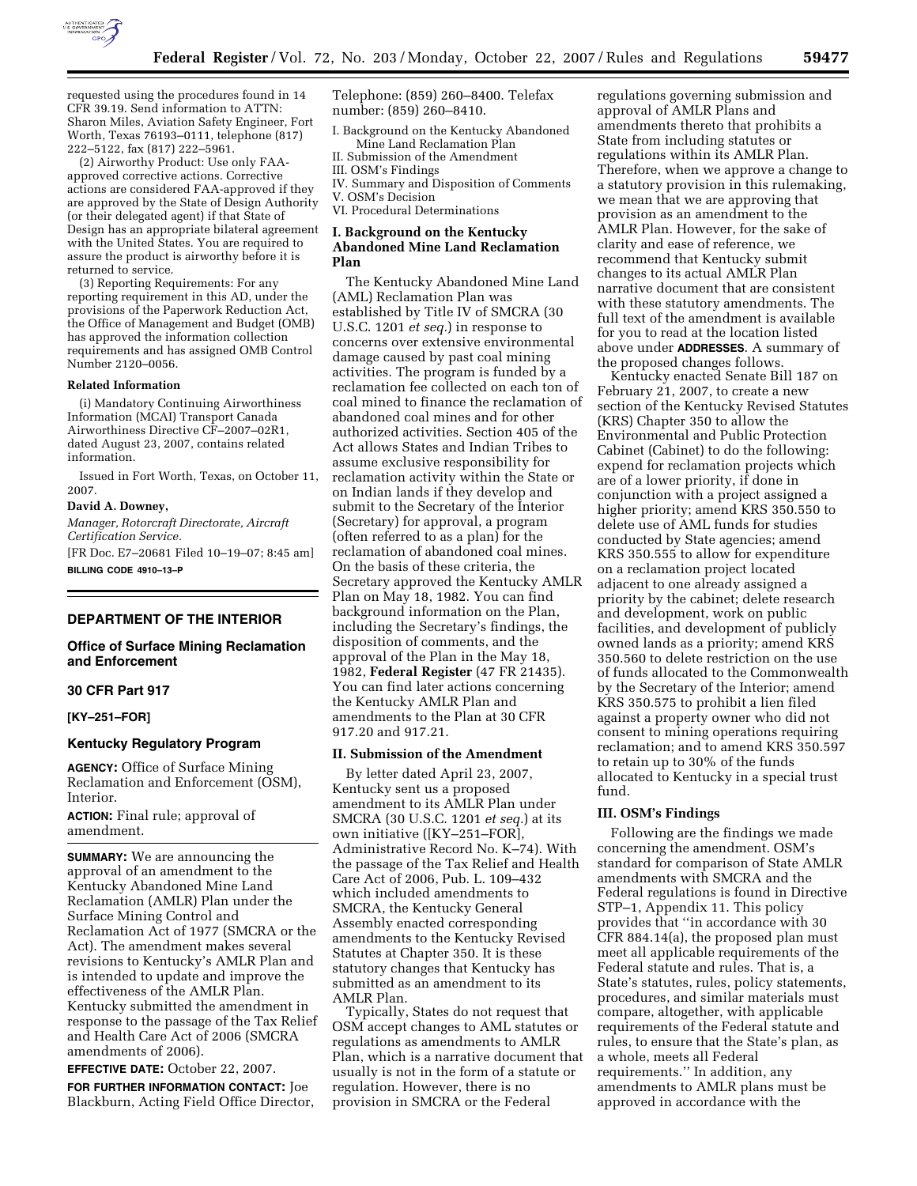

requested using the procedures found in 14 CFR 39.19. Send information to ATTN: Sharon Miles, Aviation Safety Engineer, Fort Worth, Texas 76193–0111, telephone (817) 222–5122, fax (817) 222–5961.

(2) Airworthy Product: Use only FAAapproved corrective actions. Corrective actions are considered FAA-approved if they are approved by the State of Design Authority (or their delegated agent) if that State of Design has an appropriate bilateral agreement with the United States. You are required to assure the product is airworthy before it is returned to service.

(3) Reporting Requirements: For any reporting requirement in this AD, under the provisions of the Paperwork Reduction Act, the Office of Management and Budget (OMB) has approved the information collection requirements and has assigned OMB Control Number 2120–0056.

#### **Related Information**

(i) Mandatory Continuing Airworthiness Information (MCAI) Transport Canada Airworthiness Directive CF–2007–02R1, dated August 23, 2007, contains related information.

Issued in Fort Worth, Texas, on October 11, 2007.

#### **David A. Downey,**

*Manager, Rotorcraft Directorate, Aircraft Certification Service.* 

[FR Doc. E7–20681 Filed 10–19–07; 8:45 am] **BILLING CODE 4910–13–P** 

# **DEPARTMENT OF THE INTERIOR**

### **Office of Surface Mining Reclamation and Enforcement**

### **30 CFR Part 917**

# **[KY–251–FOR]**

# **Kentucky Regulatory Program**

**AGENCY:** Office of Surface Mining Reclamation and Enforcement (OSM), Interior.

**ACTION:** Final rule; approval of amendment.

**SUMMARY:** We are announcing the approval of an amendment to the Kentucky Abandoned Mine Land Reclamation (AMLR) Plan under the Surface Mining Control and Reclamation Act of 1977 (SMCRA or the Act). The amendment makes several revisions to Kentucky's AMLR Plan and is intended to update and improve the effectiveness of the AMLR Plan. Kentucky submitted the amendment in response to the passage of the Tax Relief and Health Care Act of 2006 (SMCRA amendments of 2006).

**EFFECTIVE DATE:** October 22, 2007.

**FOR FURTHER INFORMATION CONTACT:** Joe Blackburn, Acting Field Office Director, Telephone: (859) 260–8400. Telefax number: (859) 260–8410.

- I. Background on the Kentucky Abandoned Mine Land Reclamation Plan
- II. Submission of the Amendment
- III. OSM's Findings
- IV. Summary and Disposition of Comments V. OSM's Decision

VI. Procedural Determinations

### **I. Background on the Kentucky Abandoned Mine Land Reclamation Plan**

The Kentucky Abandoned Mine Land (AML) Reclamation Plan was established by Title IV of SMCRA (30 U.S.C. 1201 *et seq.*) in response to concerns over extensive environmental damage caused by past coal mining activities. The program is funded by a reclamation fee collected on each ton of coal mined to finance the reclamation of abandoned coal mines and for other authorized activities. Section 405 of the Act allows States and Indian Tribes to assume exclusive responsibility for reclamation activity within the State or on Indian lands if they develop and submit to the Secretary of the Interior (Secretary) for approval, a program (often referred to as a plan) for the reclamation of abandoned coal mines. On the basis of these criteria, the Secretary approved the Kentucky AMLR Plan on May 18, 1982. You can find background information on the Plan, including the Secretary's findings, the disposition of comments, and the approval of the Plan in the May 18, 1982, **Federal Register** (47 FR 21435). You can find later actions concerning the Kentucky AMLR Plan and amendments to the Plan at 30 CFR 917.20 and 917.21.

#### **II. Submission of the Amendment**

By letter dated April 23, 2007, Kentucky sent us a proposed amendment to its AMLR Plan under SMCRA (30 U.S.C. 1201 *et seq.*) at its own initiative ([KY–251–FOR], Administrative Record No. K–74). With the passage of the Tax Relief and Health Care Act of 2006, Pub. L. 109–432 which included amendments to SMCRA, the Kentucky General Assembly enacted corresponding amendments to the Kentucky Revised Statutes at Chapter 350. It is these statutory changes that Kentucky has submitted as an amendment to its AMLR Plan.

Typically, States do not request that OSM accept changes to AML statutes or regulations as amendments to AMLR Plan, which is a narrative document that usually is not in the form of a statute or regulation. However, there is no provision in SMCRA or the Federal

regulations governing submission and approval of AMLR Plans and amendments thereto that prohibits a State from including statutes or regulations within its AMLR Plan. Therefore, when we approve a change to a statutory provision in this rulemaking, we mean that we are approving that provision as an amendment to the AMLR Plan. However, for the sake of clarity and ease of reference, we recommend that Kentucky submit changes to its actual AMLR Plan narrative document that are consistent with these statutory amendments. The full text of the amendment is available for you to read at the location listed above under **ADDRESSES**. A summary of the proposed changes follows.

Kentucky enacted Senate Bill 187 on February 21, 2007, to create a new section of the Kentucky Revised Statutes (KRS) Chapter 350 to allow the Environmental and Public Protection Cabinet (Cabinet) to do the following: expend for reclamation projects which are of a lower priority, if done in conjunction with a project assigned a higher priority; amend KRS 350.550 to delete use of AML funds for studies conducted by State agencies; amend KRS 350.555 to allow for expenditure on a reclamation project located adjacent to one already assigned a priority by the cabinet; delete research and development, work on public facilities, and development of publicly owned lands as a priority; amend KRS 350.560 to delete restriction on the use of funds allocated to the Commonwealth by the Secretary of the Interior; amend KRS 350.575 to prohibit a lien filed against a property owner who did not consent to mining operations requiring reclamation; and to amend KRS 350.597 to retain up to 30% of the funds allocated to Kentucky in a special trust fund.

### **III. OSM's Findings**

Following are the findings we made concerning the amendment. OSM's standard for comparison of State AMLR amendments with SMCRA and the Federal regulations is found in Directive STP–1, Appendix 11. This policy provides that ''in accordance with 30 CFR 884.14(a), the proposed plan must meet all applicable requirements of the Federal statute and rules. That is, a State's statutes, rules, policy statements, procedures, and similar materials must compare, altogether, with applicable requirements of the Federal statute and rules, to ensure that the State's plan, as a whole, meets all Federal requirements.'' In addition, any amendments to AMLR plans must be approved in accordance with the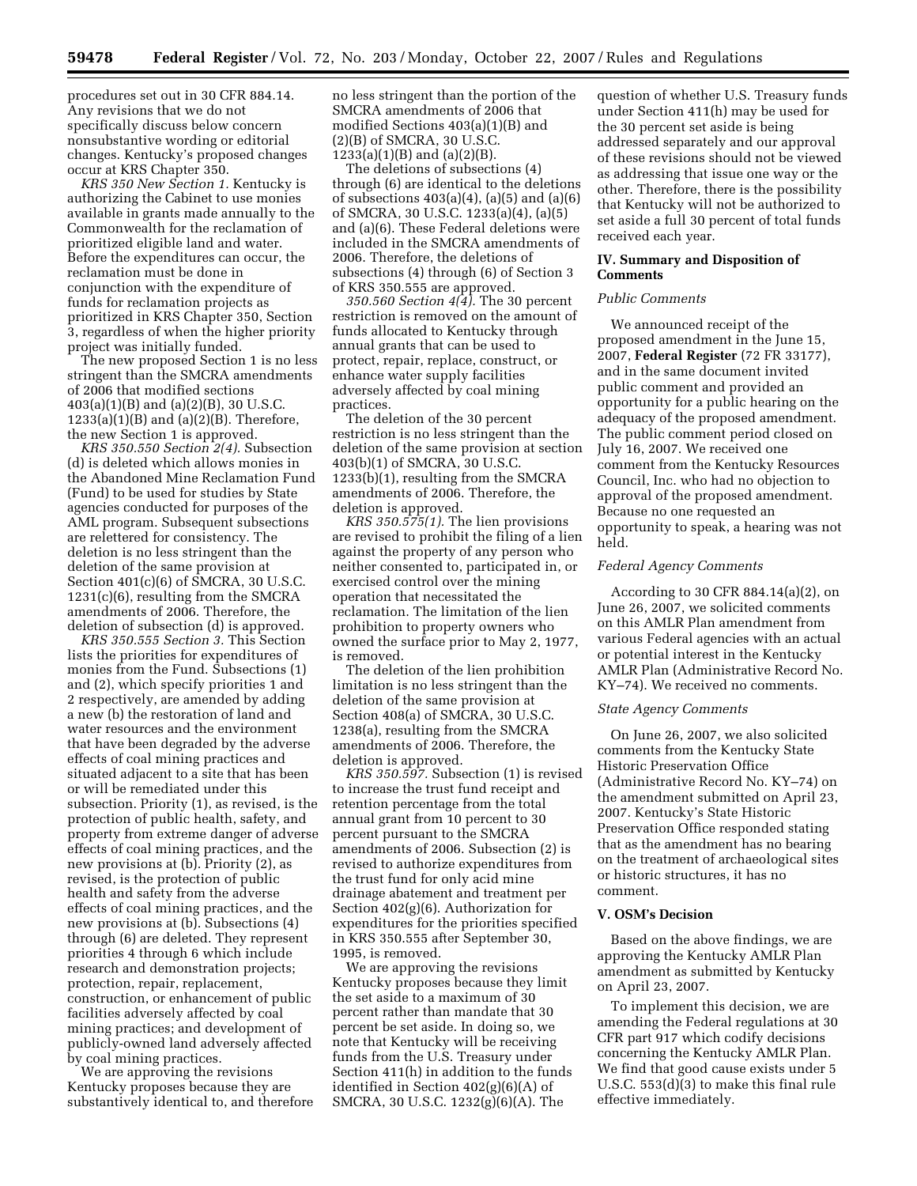procedures set out in 30 CFR 884.14. Any revisions that we do not specifically discuss below concern nonsubstantive wording or editorial changes. Kentucky's proposed changes occur at KRS Chapter 350.

*KRS 350 New Section 1.* Kentucky is authorizing the Cabinet to use monies available in grants made annually to the Commonwealth for the reclamation of prioritized eligible land and water. Before the expenditures can occur, the reclamation must be done in conjunction with the expenditure of funds for reclamation projects as prioritized in KRS Chapter 350, Section 3, regardless of when the higher priority project was initially funded.

The new proposed Section 1 is no less stringent than the SMCRA amendments of 2006 that modified sections 403(a)(1)(B) and (a)(2)(B), 30 U.S.C.  $1233(a)(1)(B)$  and  $(a)(2)(B)$ . Therefore, the new Section 1 is approved.

*KRS 350.550 Section 2(4).* Subsection (d) is deleted which allows monies in the Abandoned Mine Reclamation Fund (Fund) to be used for studies by State agencies conducted for purposes of the AML program. Subsequent subsections are relettered for consistency. The deletion is no less stringent than the deletion of the same provision at Section 401(c)(6) of SMCRA, 30 U.S.C. 1231(c)(6), resulting from the SMCRA amendments of 2006. Therefore, the deletion of subsection (d) is approved.

*KRS 350.555 Section 3.* This Section lists the priorities for expenditures of monies from the Fund. Subsections (1) and (2), which specify priorities 1 and 2 respectively, are amended by adding a new (b) the restoration of land and water resources and the environment that have been degraded by the adverse effects of coal mining practices and situated adjacent to a site that has been or will be remediated under this subsection. Priority (1), as revised, is the protection of public health, safety, and property from extreme danger of adverse effects of coal mining practices, and the new provisions at (b). Priority (2), as revised, is the protection of public health and safety from the adverse effects of coal mining practices, and the new provisions at (b). Subsections (4) through (6) are deleted. They represent priorities 4 through 6 which include research and demonstration projects; protection, repair, replacement, construction, or enhancement of public facilities adversely affected by coal mining practices; and development of publicly-owned land adversely affected by coal mining practices.

We are approving the revisions Kentucky proposes because they are substantively identical to, and therefore no less stringent than the portion of the SMCRA amendments of 2006 that modified Sections 403(a)(1)(B) and (2)(B) of SMCRA, 30 U.S.C. 1233(a)(1)(B) and (a)(2)(B).

The deletions of subsections (4) through (6) are identical to the deletions of subsections  $403(a)(4)$ ,  $(a)(5)$  and  $(a)(6)$ of SMCRA, 30 U.S.C. 1233(a)(4), (a)(5) and (a)(6). These Federal deletions were included in the SMCRA amendments of 2006. Therefore, the deletions of subsections (4) through (6) of Section 3 of KRS 350.555 are approved.

*350.560 Section 4(4).* The 30 percent restriction is removed on the amount of funds allocated to Kentucky through annual grants that can be used to protect, repair, replace, construct, or enhance water supply facilities adversely affected by coal mining practices.

The deletion of the 30 percent restriction is no less stringent than the deletion of the same provision at section 403(b)(1) of SMCRA, 30 U.S.C. 1233(b)(1), resulting from the SMCRA amendments of 2006. Therefore, the deletion is approved.

*KRS 350.575(1).* The lien provisions are revised to prohibit the filing of a lien against the property of any person who neither consented to, participated in, or exercised control over the mining operation that necessitated the reclamation. The limitation of the lien prohibition to property owners who owned the surface prior to May 2, 1977, is removed.

The deletion of the lien prohibition limitation is no less stringent than the deletion of the same provision at Section 408(a) of SMCRA, 30 U.S.C. 1238(a), resulting from the SMCRA amendments of 2006. Therefore, the deletion is approved.

*KRS 350.597.* Subsection (1) is revised to increase the trust fund receipt and retention percentage from the total annual grant from 10 percent to 30 percent pursuant to the SMCRA amendments of 2006. Subsection (2) is revised to authorize expenditures from the trust fund for only acid mine drainage abatement and treatment per Section 402(g)(6). Authorization for expenditures for the priorities specified in KRS 350.555 after September 30, 1995, is removed.

We are approving the revisions Kentucky proposes because they limit the set aside to a maximum of 30 percent rather than mandate that 30 percent be set aside. In doing so, we note that Kentucky will be receiving funds from the U.S. Treasury under Section 411(h) in addition to the funds identified in Section 402(g)(6)(A) of SMCRA, 30 U.S.C. 1232(g)(6)(A). The

question of whether U.S. Treasury funds under Section 411(h) may be used for the 30 percent set aside is being addressed separately and our approval of these revisions should not be viewed as addressing that issue one way or the other. Therefore, there is the possibility that Kentucky will not be authorized to set aside a full 30 percent of total funds received each year.

### **IV. Summary and Disposition of Comments**

### *Public Comments*

We announced receipt of the proposed amendment in the June 15, 2007, **Federal Register** (72 FR 33177), and in the same document invited public comment and provided an opportunity for a public hearing on the adequacy of the proposed amendment. The public comment period closed on July 16, 2007. We received one comment from the Kentucky Resources Council, Inc. who had no objection to approval of the proposed amendment. Because no one requested an opportunity to speak, a hearing was not held.

### *Federal Agency Comments*

According to 30 CFR 884.14(a)(2), on June 26, 2007, we solicited comments on this AMLR Plan amendment from various Federal agencies with an actual or potential interest in the Kentucky AMLR Plan (Administrative Record No. KY–74). We received no comments.

### *State Agency Comments*

On June 26, 2007, we also solicited comments from the Kentucky State Historic Preservation Office (Administrative Record No. KY–74) on the amendment submitted on April 23, 2007. Kentucky's State Historic Preservation Office responded stating that as the amendment has no bearing on the treatment of archaeological sites or historic structures, it has no comment.

### **V. OSM's Decision**

Based on the above findings, we are approving the Kentucky AMLR Plan amendment as submitted by Kentucky on April 23, 2007.

To implement this decision, we are amending the Federal regulations at 30 CFR part 917 which codify decisions concerning the Kentucky AMLR Plan. We find that good cause exists under 5 U.S.C. 553(d)(3) to make this final rule effective immediately.